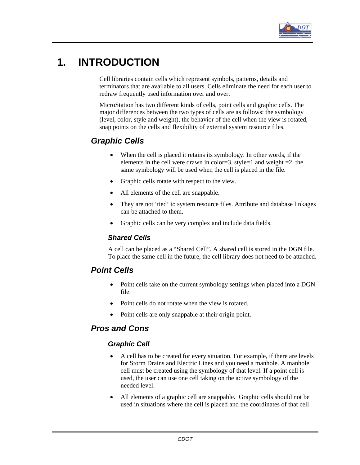

# **1. INTRODUCTION**

Cell libraries contain cells which represent symbols, patterns, details and terminators that are available to all users. Cells eliminate the need for each user to redraw frequently used information over and over.

MicroStation has two different kinds of cells, point cells and graphic cells. The major differences between the two types of cells are as follows: the symbology (level, color, style and weight), the behavior of the cell when the view is rotated, snap points on the cells and flexibility of external system resource files.

# *Graphic Cells*

- When the cell is placed it retains its symbology. In other words, if the elements in the cell were drawn in color=3, style=1 and weight =2, the same symbology will be used when the cell is placed in the file.
- Graphic cells rotate with respect to the view.
- All elements of the cell are snappable.
- They are not 'tied' to system resource files. Attribute and database linkages can be attached to them.
- Graphic cells can be very complex and include data fields.

#### *Shared Cells*

A cell can be placed as a "Shared Cell". A shared cell is stored in the DGN file. To place the same cell in the future, the cell library does not need to be attached.

# *Point Cells*

- Point cells take on the current symbology settings when placed into a DGN file.
- Point cells do not rotate when the view is rotated.
- Point cells are only snappable at their origin point.

# *Pros and Cons*

#### *Graphic Cell*

- A cell has to be created for every situation. For example, if there are levels for Storm Drains and Electric Lines and you need a manhole. A manhole cell must be created using the symbology of that level. If a point cell is used, the user can use one cell taking on the active symbology of the needed level.
- All elements of a graphic cell are snappable. Graphic cells should not be used in situations where the cell is placed and the coordinates of that cell